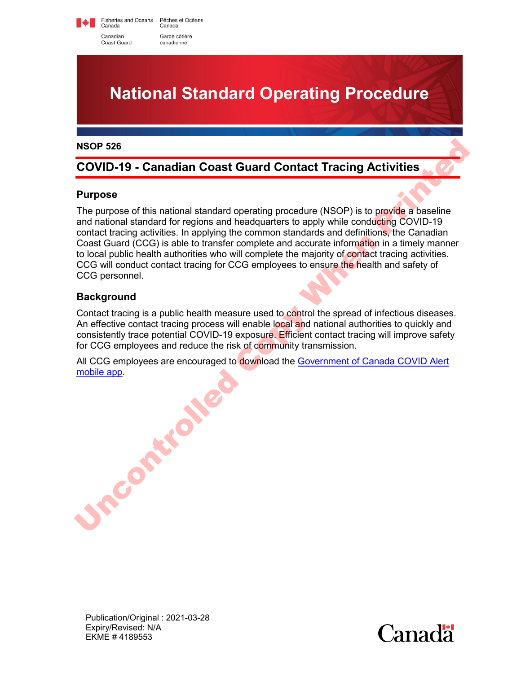Fisheries and Oceans<br>Canada Pêches et Océans Canada Canadian Garde côtière canadienne

Coast Guard

# **National Standard Operating Procedure**

#### **NSOP 526**

# **COVID-19 - Canadian Coast Guard Contact Tracing Activities**

## **Purpose**

The purpose of this national standard operating procedure (NSOP) is to provide a baseline and national standard for regions and headquarters to apply while conducting COVID-19 contact tracing activities. In applying the common standards and definitions, the Canadian Coast Guard (CCG) is able to transfer complete and accurate information in a timely manner to local public health authorities who will complete the majority of contact tracing activities. CCG will conduct contact tracing for CCG employees to ensure the health and safety of CCG personnel. **NSOP 526**<br>
COVID-19 - Canadian Coast Guard Contact Tracing Activities<br>
Purpose<br>
The purpose of this national standard operating procedure (NSOP) is to provide a baseline<br>
and national standard for regions and readquarter

## **Background**

Contact tracing is a public health measure used to control the spread of infectious diseases. An effective contact tracing process will enable local and national authorities to quickly and consistently trace potential COVID-19 exposure. Efficient contact tracing will improve safety for CCG employees and reduce the risk of community transmission.

All CCG employees are encouraged to download the Government of Canada COVID Alert mobile app.

Publication/Original : 2021-03-28 Expiry/Revised: N/A EKME # 4189553

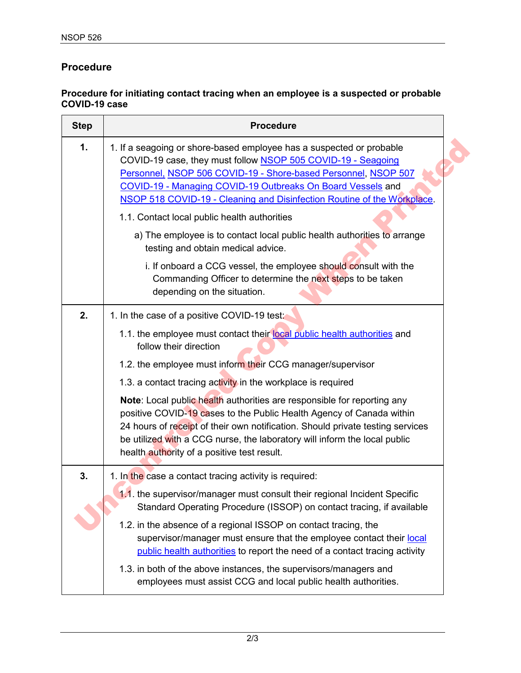## **Procedure**

## **Procedure for initiating contact tracing when an employee is a suspected or probable COVID-19 case**

| <b>Step</b> | <b>Procedure</b>                                                                                                                                                                                                                                                                                                                                              |
|-------------|---------------------------------------------------------------------------------------------------------------------------------------------------------------------------------------------------------------------------------------------------------------------------------------------------------------------------------------------------------------|
| 1.          | 1. If a seagoing or shore-based employee has a suspected or probable<br>COVID-19 case, they must follow NSOP 505 COVID-19 - Seagoing<br>Personnel, NSOP 506 COVID-19 - Shore-based Personnel, NSOP 507<br>COVID-19 - Managing COVID-19 Outbreaks On Board Vessels and<br>NSOP 518 COVID-19 - Cleaning and Disinfection Routine of the Workplace.              |
|             | 1.1. Contact local public health authorities                                                                                                                                                                                                                                                                                                                  |
|             | a) The employee is to contact local public health authorities to arrange<br>testing and obtain medical advice.                                                                                                                                                                                                                                                |
|             | i. If onboard a CCG vessel, the employee should consult with the<br>Commanding Officer to determine the next steps to be taken<br>depending on the situation.                                                                                                                                                                                                 |
| 2.          | 1. In the case of a positive COVID-19 test:                                                                                                                                                                                                                                                                                                                   |
|             | 1.1. the employee must contact their local public health authorities and<br>follow their direction                                                                                                                                                                                                                                                            |
|             | 1.2. the employee must inform their CCG manager/supervisor                                                                                                                                                                                                                                                                                                    |
|             | 1.3. a contact tracing activity in the workplace is required                                                                                                                                                                                                                                                                                                  |
|             | Note: Local public health authorities are responsible for reporting any<br>positive COVID-19 cases to the Public Health Agency of Canada within<br>24 hours of receipt of their own notification. Should private testing services<br>be utilized with a CCG nurse, the laboratory will inform the local public<br>health authority of a positive test result. |
| 3.          | 1. In the case a contact tracing activity is required:                                                                                                                                                                                                                                                                                                        |
|             | 1.1. the supervisor/manager must consult their regional Incident Specific<br>Standard Operating Procedure (ISSOP) on contact tracing, if available                                                                                                                                                                                                            |
|             | 1.2. in the absence of a regional ISSOP on contact tracing, the<br>supervisor/manager must ensure that the employee contact their local<br>public health authorities to report the need of a contact tracing activity                                                                                                                                         |
|             | 1.3. in both of the above instances, the supervisors/managers and<br>employees must assist CCG and local public health authorities.                                                                                                                                                                                                                           |